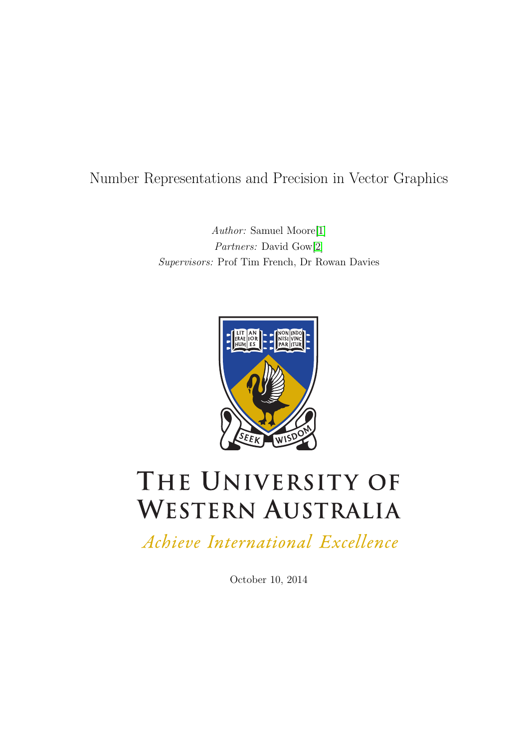# Number Representations and Precision in Vector Graphics

Author: Samuel Moore[\[1\]](#page-28-0) Partners: David Gow[\[2\]](#page-28-1) Supervisors: Prof Tim French, Dr Rowan Davies



# THE UNIVERSITY OF **WESTERN AUSTRALIA**

Achieve International Excellence

October 10, 2014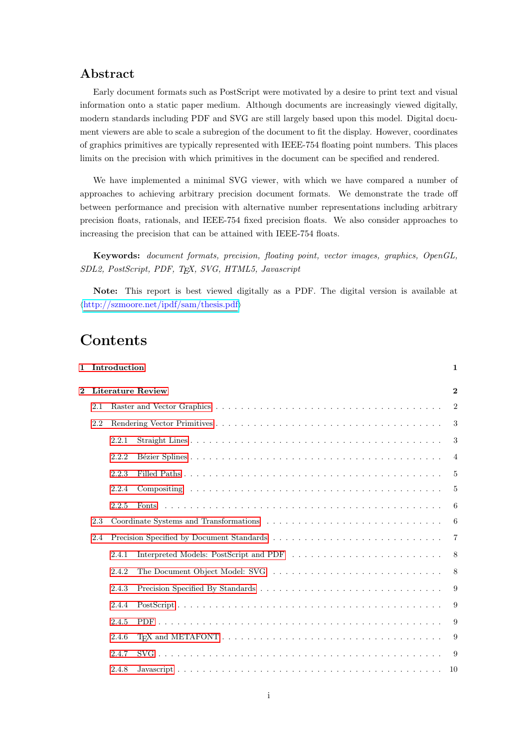## Abstract

Early document formats such as PostScript were motivated by a desire to print text and visual information onto a static paper medium. Although documents are increasingly viewed digitally, modern standards including PDF and SVG are still largely based upon this model. Digital document viewers are able to scale a subregion of the document to fit the display. However, coordinates of graphics primitives are typically represented with IEEE-754 floating point numbers. This places limits on the precision with which primitives in the document can be specified and rendered.

We have implemented a minimal SVG viewer, with which we have compared a number of approaches to achieving arbitrary precision document formats. We demonstrate the trade off between performance and precision with alternative number representations including arbitrary precision floats, rationals, and IEEE-754 fixed precision floats. We also consider approaches to increasing the precision that can be attained with IEEE-754 floats.

Keywords: document formats, precision, floating point, vector images, graphics, OpenGL, SDL2, PostScript, PDF, TEX, SVG, HTML5, Javascript

Note: This report is best viewed digitally as a PDF. The digital version is available at  $\langle$ <http://szmoore.net/ipdf/sam/thesis.pdf> $\rangle$ 

# Contents

|                |     | 1 Introduction |                   | 1              |
|----------------|-----|----------------|-------------------|----------------|
| $\overline{2}$ |     |                | Literature Review | $\bf{2}$       |
|                | 2.1 |                |                   | $\overline{2}$ |
|                | 2.2 |                |                   | 3              |
|                |     | 2.2.1          |                   | 3              |
|                |     | 2.2.2          |                   | $\overline{4}$ |
|                |     | 2.2.3          |                   | 5              |
|                |     | 2.2.4          |                   | 5              |
|                |     | 2.2.5          |                   | 6              |
|                | 2.3 |                |                   | 6              |
|                | 2.4 |                |                   | $\overline{7}$ |
|                |     | 2.4.1          |                   | 8              |
|                |     | 2.4.2          |                   | 8              |
|                |     | 2.4.3          |                   | 9              |
|                |     | 2.4.4          |                   | 9              |
|                |     | 2.4.5          |                   | 9              |
|                |     | 2.4.6          |                   | 9              |
|                |     | 2.4.7          |                   | 9              |
|                |     | 2.4.8          |                   | 10             |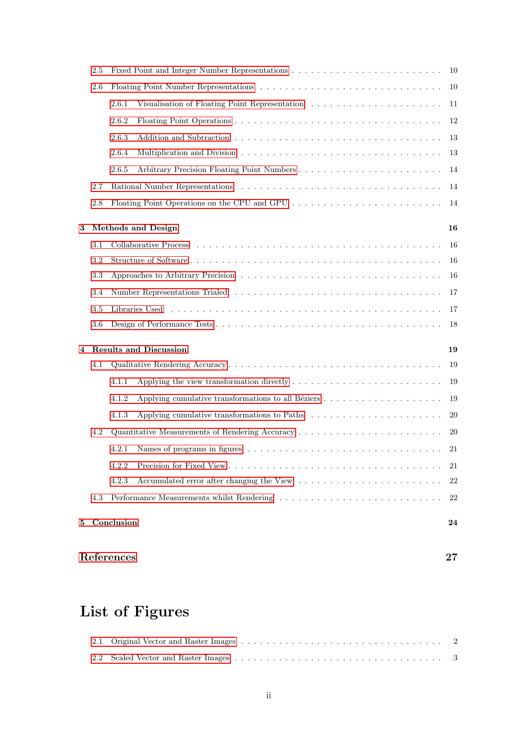|   | 2.5     |                                              |           |
|---|---------|----------------------------------------------|-----------|
|   | 2.6     |                                              | 10        |
|   |         | 2.6.1                                        | 11        |
|   |         | 2.6.2                                        | 12        |
|   |         | 2.6.3                                        | 13        |
|   |         | 2.6.4                                        | 13        |
|   |         | 2.6.5                                        | 14        |
|   | 2.7     |                                              | 14        |
|   | $2.8\,$ | Floating Point Operations on the CPU and GPU | 14        |
|   |         |                                              |           |
| 3 |         | <b>Methods and Design</b>                    | 16        |
|   | $3.1\,$ |                                              | 16        |
|   | $3.2\,$ |                                              | 16        |
|   | 3.3     |                                              | 16        |
|   | 3.4     |                                              | 17        |
|   | 3.5     |                                              | 17        |
|   | $3.6\,$ |                                              | 18        |
| 4 |         | <b>Results and Discussion</b>                | 19        |
|   | 4.1     |                                              | 19        |
|   |         | 4.1.1                                        | 19        |
|   |         | 4.1.2                                        | 19        |
|   |         | 4.1.3                                        | 20        |
|   | 4.2     |                                              | <b>20</b> |
|   |         | 4.2.1                                        | 21        |
|   |         |                                              | 21        |
|   |         | 4.2.3                                        | 22        |
|   | 4.3     |                                              | 22        |
| 5 |         | Conclusion                                   | 24        |
|   |         |                                              |           |

## [References](#page-28-2) 27

# List of Figures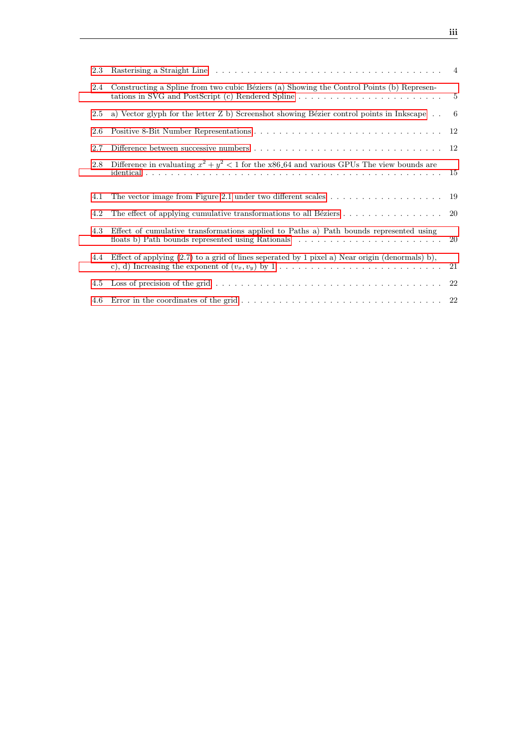| 2.3 |                                                                                                                                                |                |
|-----|------------------------------------------------------------------------------------------------------------------------------------------------|----------------|
| 2.4 | Constructing a Spline from two cubic Béziers (a) Showing the Control Points (b) Represen-<br>tations in SVG and PostScript (c) Rendered Spline | $\overline{5}$ |
| 2.5 | a) Vector glyph for the letter $Z$ b) Screenshot showing Bézier control points in Inkscape                                                     | -6             |
| 2.6 |                                                                                                                                                | 12             |
| 2.7 |                                                                                                                                                |                |
| 2.8 | Difference in evaluating $x^2 + y^2 < 1$ for the x86.64 and various GPUs The view bounds are                                                   | 15             |
| 4.1 | The vector image from Figure 2.1 under two different scales $\dots \dots \dots \dots \dots \dots$                                              | 19             |
| 4.2 | The effect of applying cumulative transformations to all Béziers                                                                               |                |
|     |                                                                                                                                                | -20            |
| 4.3 | Effect of cumulative transformations applied to Paths a) Path bounds represented using<br>floats b) Path bounds represented using Rationals    | 20             |
| 4.4 | Effect of applying $(2.7)$ to a grid of lines seperated by 1 pixel a) Near origin (denormals) b),                                              | 21             |
| 4.5 |                                                                                                                                                |                |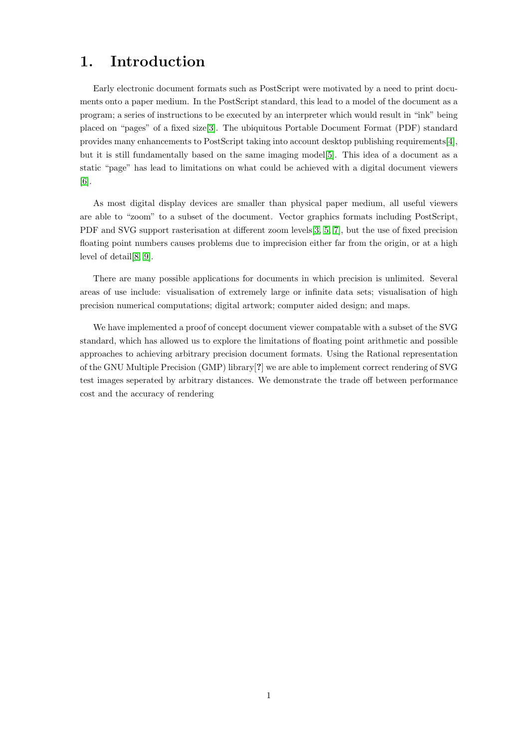# <span id="page-4-0"></span>1. Introduction

Early electronic document formats such as PostScript were motivated by a need to print documents onto a paper medium. In the PostScript standard, this lead to a model of the document as a program; a series of instructions to be executed by an interpreter which would result in "ink" being placed on "pages" of a fixed size[\[3\]](#page-28-3). The ubiquitous Portable Document Format (PDF) standard provides many enhancements to PostScript taking into account desktop publishing requirements[\[4\]](#page-28-4), but it is still fundamentally based on the same imaging model[\[5\]](#page-28-5). This idea of a document as a static "page" has lead to limitations on what could be achieved with a digital document viewers [\[6\]](#page-28-6).

As most digital display devices are smaller than physical paper medium, all useful viewers are able to "zoom" to a subset of the document. Vector graphics formats including PostScript, PDF and SVG support rasterisation at different zoom levels[\[3,](#page-28-3) [5,](#page-28-5) [7\]](#page-28-7), but the use of fixed precision floating point numbers causes problems due to imprecision either far from the origin, or at a high level of detail[\[8,](#page-28-8) [9\]](#page-28-9).

There are many possible applications for documents in which precision is unlimited. Several areas of use include: visualisation of extremely large or infinite data sets; visualisation of high precision numerical computations; digital artwork; computer aided design; and maps.

We have implemented a proof of concept document viewer compatable with a subset of the SVG standard, which has allowed us to explore the limitations of floating point arithmetic and possible approaches to achieving arbitrary precision document formats. Using the Rational representation of the GNU Multiple Precision (GMP) library[?] we are able to implement correct rendering of SVG test images seperated by arbitrary distances. We demonstrate the trade off between performance cost and the accuracy of rendering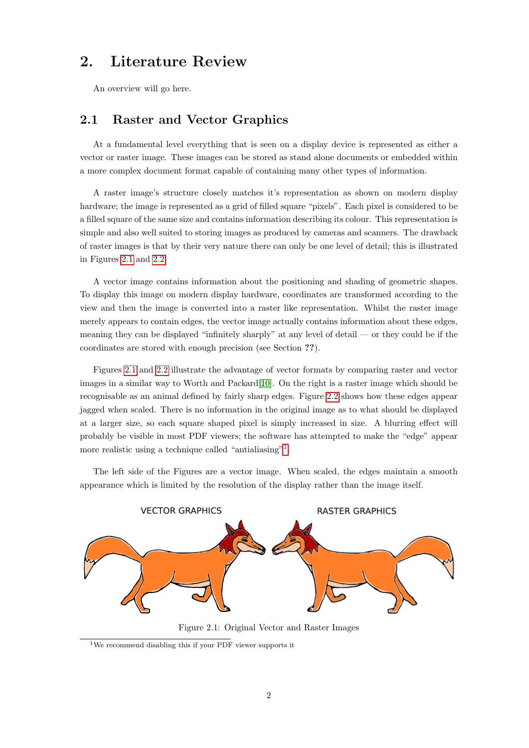# <span id="page-5-0"></span>2. Literature Review

<span id="page-5-1"></span>An overview will go here.

## 2.1 Raster and Vector Graphics

At a fundamental level everything that is seen on a display device is represented as either a vector or raster image. These images can be stored as stand alone documents or embedded within a more complex document format capable of containing many other types of information.

A raster image's structure closely matches it's representation as shown on modern display hardware; the image is represented as a grid of filled square "pixels". Each pixel is considered to be a filled square of the same size and contains information describing its colour. This representation is simple and also well suited to storing images as produced by cameras and scanners. The drawback of raster images is that by their very nature there can only be one level of detail; this is illustrated in Figures [2.1](#page-5-2) and [2.2.](#page-6-2)

A vector image contains information about the positioning and shading of geometric shapes. To display this image on modern display hardware, coordinates are transformed according to the view and then the image is converted into a raster like representation. Whilst the raster image merely appears to contain edges, the vector image actually contains information about these edges, meaning they can be displayed "infinitely sharply" at any level of detail — or they could be if the coordinates are stored with enough precision (see Section ??).

Figures [2.1](#page-5-2) and [2.2](#page-6-2) illustrate the advantage of vector formats by comparing raster and vector images in a similar way to Worth and Packard[\[10\]](#page-28-10). On the right is a raster image which should be recognisable as an animal defined by fairly sharp edges. Figure [2.2](#page-6-2) shows how these edges appear jagged when scaled. There is no information in the original image as to what should be displayed at a larger size, so each square shaped pixel is simply increased in size. A blurring effect will probably be visible in most PDF viewers; the software has attempted to make the "edge" appear more realistic using a technique called "antialiasing"<sup>[1](#page-5-3)</sup>.

The left side of the Figures are a vector image. When scaled, the edges maintain a smooth appearance which is limited by the resolution of the display rather than the image itself.

<span id="page-5-2"></span>

Figure 2.1: Original Vector and Raster Images

<span id="page-5-3"></span><sup>1</sup>We recommend disabling this if your PDF viewer supports it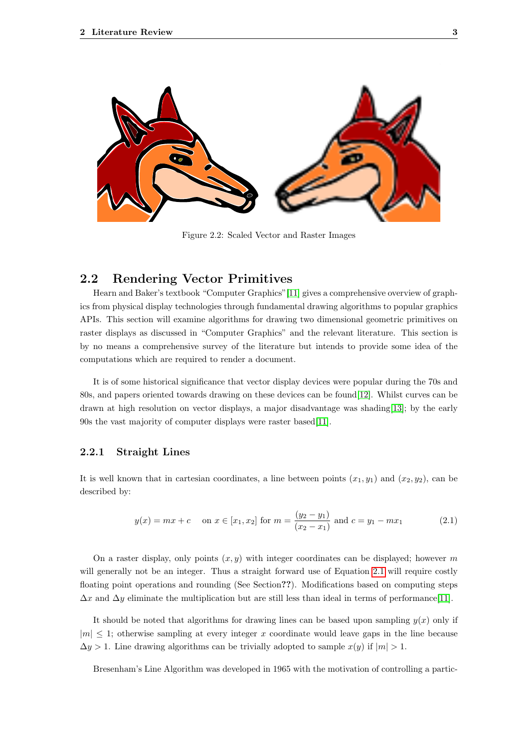<span id="page-6-2"></span>

Figure 2.2: Scaled Vector and Raster Images

## <span id="page-6-0"></span>2.2 Rendering Vector Primitives

Hearn and Baker's textbook "Computer Graphics"[\[11\]](#page-28-11) gives a comprehensive overview of graphics from physical display technologies through fundamental drawing algorithms to popular graphics APIs. This section will examine algorithms for drawing two dimensional geometric primitives on raster displays as discussed in "Computer Graphics" and the relevant literature. This section is by no means a comprehensive survey of the literature but intends to provide some idea of the computations which are required to render a document.

It is of some historical significance that vector display devices were popular during the 70s and 80s, and papers oriented towards drawing on these devices can be found[\[12\]](#page-28-12). Whilst curves can be drawn at high resolution on vector displays, a major disadvantage was shading[\[13\]](#page-28-13); by the early 90s the vast majority of computer displays were raster based[\[11\]](#page-28-11).

#### <span id="page-6-1"></span>2.2.1 Straight Lines

It is well known that in cartesian coordinates, a line between points  $(x_1, y_1)$  and  $(x_2, y_2)$ , can be described by:

<span id="page-6-3"></span>
$$
y(x) = mx + c
$$
 on  $x \in [x_1, x_2]$  for  $m = \frac{(y_2 - y_1)}{(x_2 - x_1)}$  and  $c = y_1 - mx_1$  (2.1)

On a raster display, only points  $(x, y)$  with integer coordinates can be displayed; however m will generally not be an integer. Thus a straight forward use of Equation [2.1](#page-6-3) will require costly floating point operations and rounding (See Section??). Modifications based on computing steps  $\Delta x$  and  $\Delta y$  eliminate the multiplication but are still less than ideal in terms of performance[\[11\]](#page-28-11).

It should be noted that algorithms for drawing lines can be based upon sampling  $y(x)$  only if  $|m| \leq 1$ ; otherwise sampling at every integer x coordinate would leave gaps in the line because  $\Delta y > 1$ . Line drawing algorithms can be trivially adopted to sample  $x(y)$  if  $|m| > 1$ .

Bresenham's Line Algorithm was developed in 1965 with the motivation of controlling a partic-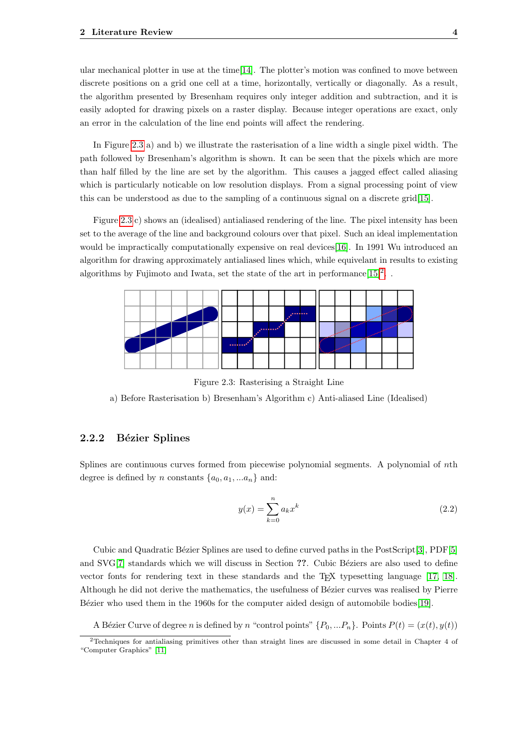ular mechanical plotter in use at the time[\[14\]](#page-28-14). The plotter's motion was confined to move between discrete positions on a grid one cell at a time, horizontally, vertically or diagonally. As a result, the algorithm presented by Bresenham requires only integer addition and subtraction, and it is easily adopted for drawing pixels on a raster display. Because integer operations are exact, only an error in the calculation of the line end points will affect the rendering.

In Figure [2.3](#page-7-1) a) and b) we illustrate the rasterisation of a line width a single pixel width. The path followed by Bresenham's algorithm is shown. It can be seen that the pixels which are more than half filled by the line are set by the algorithm. This causes a jagged effect called aliasing which is particularly noticable on low resolution displays. From a signal processing point of view this can be understood as due to the sampling of a continuous signal on a discrete grid[\[15\]](#page-28-15).

Figure [2.3](#page-7-1) c) shows an (idealised) antialiased rendering of the line. The pixel intensity has been set to the average of the line and background colours over that pixel. Such an ideal implementation would be impractically computationally expensive on real devices[\[16\]](#page-28-16). In 1991 Wu introduced an algorithm for drawing approximately antialiased lines which, while equivelant in results to existing algorithms by Fujimoto and Iwata, set the state of the art in performance  $[15]^2$  $[15]^2$  $[15]^2$ .

<span id="page-7-1"></span>

Figure 2.3: Rasterising a Straight Line

a) Before Rasterisation b) Bresenham's Algorithm c) Anti-aliased Line (Idealised)

#### <span id="page-7-0"></span>2.2.2 Bézier Splines

Splines are continuous curves formed from piecewise polynomial segments. A polynomial of nth degree is defined by n constants  $\{a_0, a_1, ... a_n\}$  and:

$$
y(x) = \sum_{k=0}^{n} a_k x^k
$$
\n
$$
(2.2)
$$

Cubic and Quadratic Bézier Splines are used to define curved paths in the PostScript[\[3\]](#page-28-3), PDF[\[5\]](#page-28-5) and SVG[\[7\]](#page-28-7) standards which we will discuss in Section ??. Cubic Béziers are also used to define vector fonts for rendering text in these standards and the TEX typesetting language [\[17,](#page-28-17) [18\]](#page-28-18). Although he did not derive the mathematics, the usefulness of Bézier curves was realised by Pierre Bézier who used them in the 1960s for the computer aided design of automobile bodies $[19]$ .

A Bézier Curve of degree n is defined by n "control points"  $\{P_0, ... P_n\}$ . Points  $P(t) = (x(t), y(t))$ 

<span id="page-7-2"></span><sup>2</sup>Techniques for antialiasing primitives other than straight lines are discussed in some detail in Chapter 4 of "Computer Graphics" [\[11\]](#page-28-11)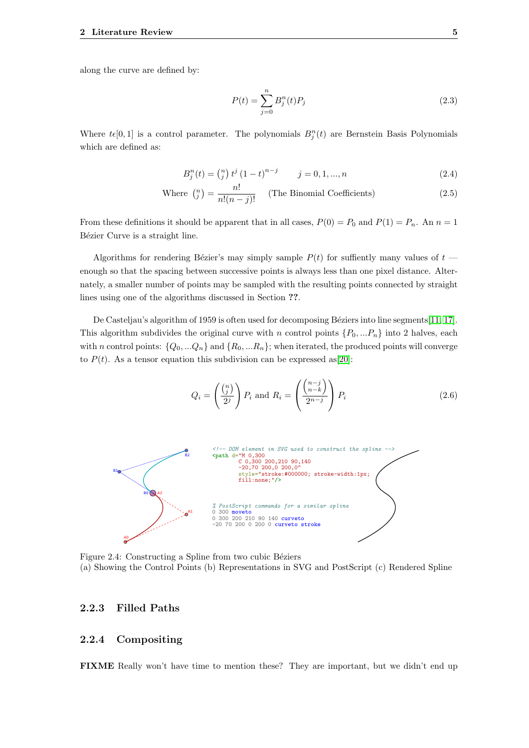along the curve are defined by:

$$
P(t) = \sum_{j=0}^{n} B_j^n(t) P_j
$$
\n(2.3)

Where  $t\epsilon[0,1]$  is a control parameter. The polynomials  $B_j^n(t)$  are Bernstein Basis Polynomials which are defined as:

$$
B_j^n(t) = \binom{n}{j} t^j (1-t)^{n-j} \qquad j = 0, 1, ..., n \tag{2.4}
$$

Where 
$$
\binom{n}{j} = \frac{n!}{n!(n-j)!}
$$
 (The Binomial Coefficients) \t(2.5)

From these definitions it should be apparent that in all cases,  $P(0) = P_0$  and  $P(1) = P_n$ . An  $n = 1$ Bézier Curve is a straight line.

Algorithms for rendering Bézier's may simply sample  $P(t)$  for suffiently many values of  $t$  enough so that the spacing between successive points is always less than one pixel distance. Alternately, a smaller number of points may be sampled with the resulting points connected by straight lines using one of the algorithms discussed in Section ??.

De Casteljau's algorithm of 1959 is often used for decomposing Béziers into line segments $[11, 17]$  $[11, 17]$ . This algorithm subdivides the original curve with n control points  $\{P_0, ... P_n\}$  into 2 halves, each with n control points:  $\{Q_0, \ldots Q_n\}$  and  $\{R_0, \ldots R_n\}$ ; when iterated, the produced points will converge to  $P(t)$ . As a tensor equation this subdivision can be expressed as [\[20\]](#page-29-1):

$$
Q_i = \left(\frac{\binom{n}{j}}{2^j}\right) P_i \text{ and } R_i = \left(\frac{\binom{n-j}{n-k}}{2^{n-j}}\right) P_i \tag{2.6}
$$

<span id="page-8-2"></span>

Figure 2.4: Constructing a Spline from two cubic Béziers (a) Showing the Control Points (b) Representations in SVG and PostScript (c) Rendered Spline

#### <span id="page-8-0"></span>2.2.3 Filled Paths

#### <span id="page-8-1"></span>2.2.4 Compositing

FIXME Really won't have time to mention these? They are important, but we didn't end up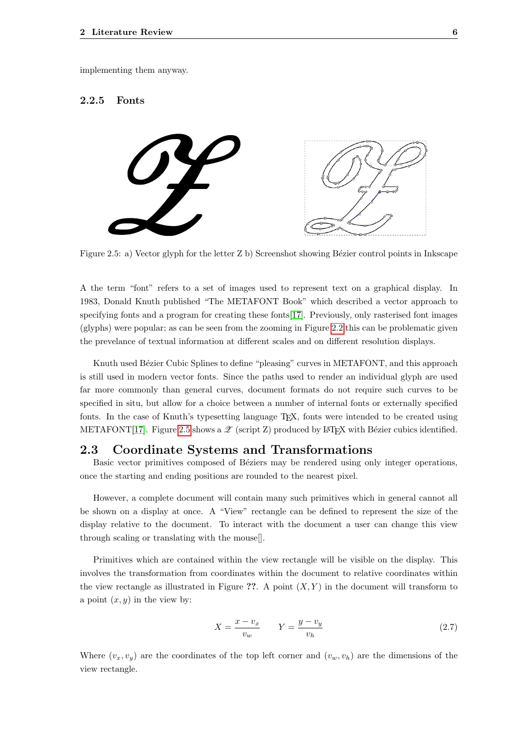<span id="page-9-0"></span>implementing them anyway.

#### 2.2.5 Fonts

<span id="page-9-2"></span>

Figure 2.5: a) Vector glyph for the letter Z b) Screenshot showing Bézier control points in Inkscape

A the term "font" refers to a set of images used to represent text on a graphical display. In 1983, Donald Knuth published "The METAFONT Book" which described a vector approach to specifying fonts and a program for creating these fonts[\[17\]](#page-28-17). Previously, only rasterised font images (glyphs) were popular; as can be seen from the zooming in Figure [2.2](#page-6-2) this can be problematic given the prevelance of textual information at different scales and on different resolution displays.

Knuth used Bézier Cubic Splines to define "pleasing" curves in METAFONT, and this approach is still used in modern vector fonts. Since the paths used to render an individual glyph are used far more commonly than general curves, document formats do not require such curves to be specified in situ, but allow for a choice between a number of internal fonts or externally specified fonts. In the case of Knuth's typesetting language TEX, fonts were intended to be created using METAFONT[\[17\]](#page-28-17). Figure [2.5](#page-9-2) shows a  $\mathscr Z$  (script Z) produced by IATEX with Bézier cubics identified.

#### <span id="page-9-1"></span>2.3 Coordinate Systems and Transformations

Basic vector primitives composed of Béziers may be rendered using only integer operations, once the starting and ending positions are rounded to the nearest pixel.

However, a complete document will contain many such primitives which in general cannot all be shown on a display at once. A "View" rectangle can be defined to represent the size of the display relative to the document. To interact with the document a user can change this view through scaling or translating with the mouse[].

Primitives which are contained within the view rectangle will be visible on the display. This involves the transformation from coordinates within the document to relative coordinates within the view rectangle as illustrated in Figure ??. A point  $(X, Y)$  in the document will transform to a point  $(x, y)$  in the view by:

<span id="page-9-3"></span>
$$
X = \frac{x - v_x}{v_w} \qquad Y = \frac{y - v_y}{v_h} \tag{2.7}
$$

Where  $(v_x, v_y)$  are the coordinates of the top left corner and  $(v_y, v_h)$  are the dimensions of the view rectangle.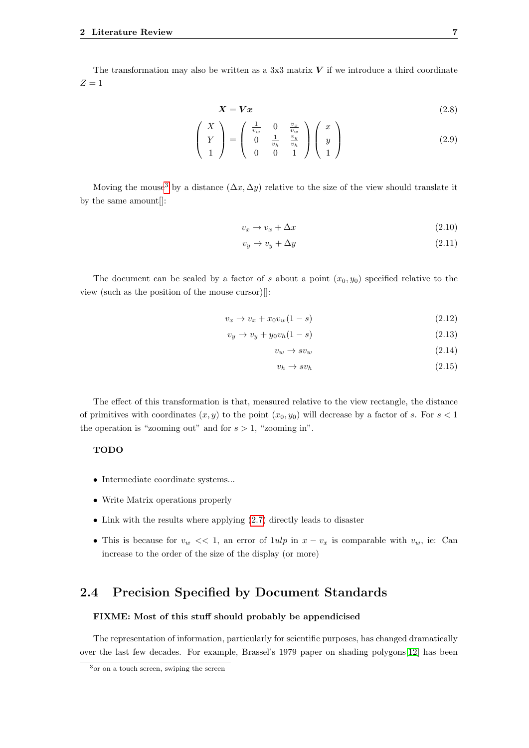The transformation may also be written as a 3x3 matrix  $V$  if we introduce a third coordinate  $Z=1$ 

$$
X = Vx \tag{2.8}
$$

$$
\begin{pmatrix}\nX \\
Y \\
1\n\end{pmatrix} = \begin{pmatrix}\n\frac{1}{v_w} & 0 & \frac{v_x}{v_w} \\
0 & \frac{1}{v_h} & \frac{v_y}{v_h} \\
0 & 0 & 1\n\end{pmatrix} \begin{pmatrix}\nx \\
y \\
1\n\end{pmatrix}
$$
\n(2.9)

Moving the mouse<sup>[3](#page-10-1)</sup> by a distance  $(\Delta x, \Delta y)$  relative to the size of the view should translate it by the same amount<br>[]:  $\quad$ 

$$
v_x \to v_x + \Delta x \tag{2.10}
$$

$$
v_y \to v_y + \Delta y \tag{2.11}
$$

The document can be scaled by a factor of s about a point  $(x_0, y_0)$  specified relative to the view (such as the position of the mouse cursor)[]:

$$
v_x \to v_x + x_0 v_w (1 - s) \tag{2.12}
$$

$$
v_y \to v_y + y_0 v_h (1 - s) \tag{2.13}
$$

$$
v_w \to s v_w \tag{2.14}
$$

$$
v_h \to s v_h \tag{2.15}
$$

The effect of this transformation is that, measured relative to the view rectangle, the distance of primitives with coordinates  $(x, y)$  to the point  $(x_0, y_0)$  will decrease by a factor of s. For  $s < 1$ the operation is "zooming out" and for  $s > 1$ , "zooming in".

#### TODO

- Intermediate coordinate systems...
- Write Matrix operations properly
- Link with the results where applying  $(2.7)$  directly leads to disaster
- This is because for  $v_w \ll 1$ , an error of  $1uh$  in  $x v_x$  is comparable with  $v_w$ , ie: Can increase to the order of the size of the display (or more)

## <span id="page-10-0"></span>2.4 Precision Specified by Document Standards

#### FIXME: Most of this stuff should probably be appendicised

The representation of information, particularly for scientific purposes, has changed dramatically over the last few decades. For example, Brassel's 1979 paper on shading polygons[\[12\]](#page-28-12) has been

<span id="page-10-1"></span><sup>3</sup>or on a touch screen, swiping the screen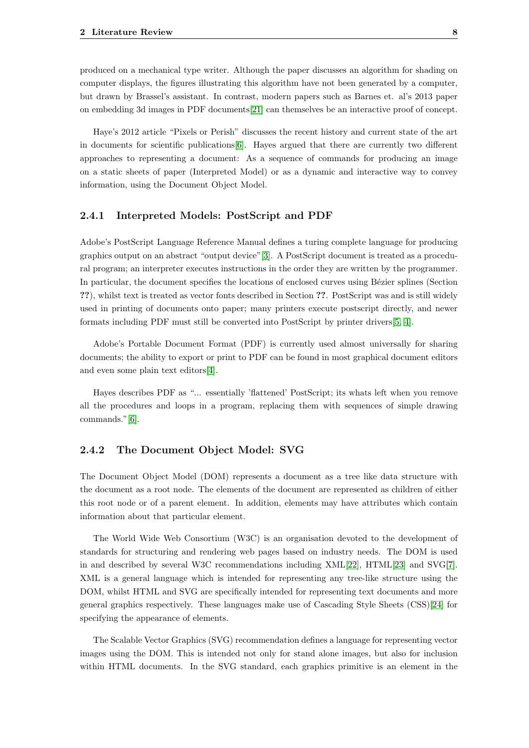produced on a mechanical type writer. Although the paper discusses an algorithm for shading on computer displays, the figures illustrating this algorithm have not been generated by a computer, but drawn by Brassel's assistant. In contrast, modern papers such as Barnes et. al's 2013 paper on embedding 3d images in PDF documents[\[21\]](#page-29-2) can themselves be an interactive proof of concept.

Haye's 2012 article "Pixels or Perish" discusses the recent history and current state of the art in documents for scientific publications[\[6\]](#page-28-6). Hayes argued that there are currently two different approaches to representing a document: As a sequence of commands for producing an image on a static sheets of paper (Interpreted Model) or as a dynamic and interactive way to convey information, using the Document Object Model.

#### <span id="page-11-0"></span>2.4.1 Interpreted Models: PostScript and PDF

Adobe's PostScript Language Reference Manual defines a turing complete language for producing graphics output on an abstract "output device"[\[3\]](#page-28-3). A PostScript document is treated as a procedural program; an interpreter executes instructions in the order they are written by the programmer. In particular, the document specifies the locations of enclosed curves using Bézier splines (Section ??), whilst text is treated as vector fonts described in Section ??. PostScript was and is still widely used in printing of documents onto paper; many printers execute postscript directly, and newer formats including PDF must still be converted into PostScript by printer drivers[\[5,](#page-28-5) [4\]](#page-28-4).

Adobe's Portable Document Format (PDF) is currently used almost universally for sharing documents; the ability to export or print to PDF can be found in most graphical document editors and even some plain text editors[\[4\]](#page-28-4).

Hayes describes PDF as "... essentially 'flattened' PostScript; its whats left when you remove all the procedures and loops in a program, replacing them with sequences of simple drawing commands."[\[6\]](#page-28-6).

#### <span id="page-11-1"></span>2.4.2 The Document Object Model: SVG

The Document Object Model (DOM) represents a document as a tree like data structure with the document as a root node. The elements of the document are represented as children of either this root node or of a parent element. In addition, elements may have attributes which contain information about that particular element.

The World Wide Web Consortium (W3C) is an organisation devoted to the development of standards for structuring and rendering web pages based on industry needs. The DOM is used in and described by several W3C recommendations including XML[\[22\]](#page-29-3), HTML[\[23\]](#page-29-4) and SVG[\[7\]](#page-28-7). XML is a general language which is intended for representing any tree-like structure using the DOM, whilst HTML and SVG are specifically intended for representing text documents and more general graphics respectively. These languages make use of Cascading Style Sheets (CSS)[\[24\]](#page-29-5) for specifying the appearance of elements.

The Scalable Vector Graphics (SVG) recommendation defines a language for representing vector images using the DOM. This is intended not only for stand alone images, but also for inclusion within HTML documents. In the SVG standard, each graphics primitive is an element in the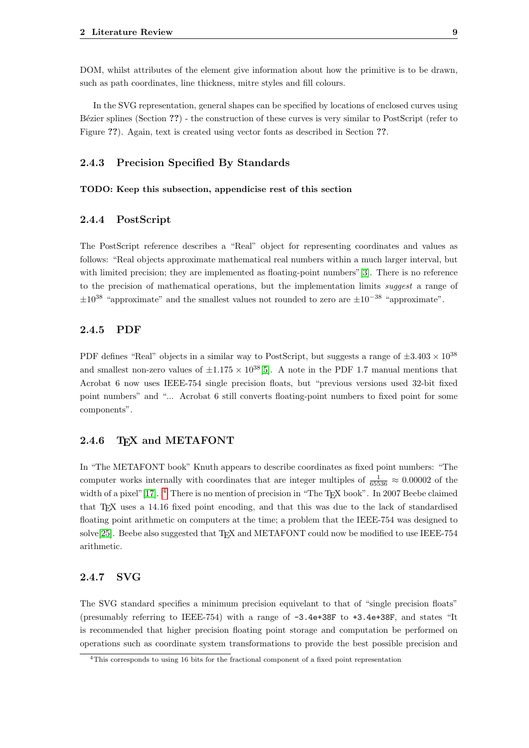DOM, whilst attributes of the element give information about how the primitive is to be drawn, such as path coordinates, line thickness, mitre styles and fill colours.

In the SVG representation, general shapes can be specified by locations of enclosed curves using Bézier splines (Section ??) - the construction of these curves is very similar to PostScript (refer to Figure ??). Again, text is created using vector fonts as described in Section ??.

#### <span id="page-12-0"></span>2.4.3 Precision Specified By Standards

#### <span id="page-12-1"></span>TODO: Keep this subsection, appendicise rest of this section

#### 2.4.4 PostScript

The PostScript reference describes a "Real" object for representing coordinates and values as follows: "Real objects approximate mathematical real numbers within a much larger interval, but with limited precision; they are implemented as floating-point numbers"[\[3\]](#page-28-3). There is no reference to the precision of mathematical operations, but the implementation limits suggest a range of  $\pm 10^{38}$  "approximate" and the smallest values not rounded to zero are  $\pm 10^{-38}$  "approximate".

#### <span id="page-12-2"></span>2.4.5 PDF

PDF defines "Real" objects in a similar way to PostScript, but suggests a range of  $\pm 3.403 \times 10^{38}$ and smallest non-zero values of  $\pm 1.175 \times 10^{38}$ [\[5\]](#page-28-5). A note in the PDF 1.7 manual mentions that Acrobat 6 now uses IEEE-754 single precision floats, but "previous versions used 32-bit fixed point numbers" and "... Acrobat 6 still converts floating-point numbers to fixed point for some components".

#### <span id="page-12-3"></span>2.4.6 TFX and METAFONT

In "The METAFONT book" Knuth appears to describe coordinates as fixed point numbers: "The computer works internally with coordinates that are integer multiples of  $\frac{1}{65536} \approx 0.00002$  of the width of a pixel"[\[17\]](#page-28-17). <sup>[4](#page-12-5)</sup> There is no mention of precision in "The T<sub>E</sub>X book". In 2007 Beebe claimed that T<sub>E</sub>X uses a 14.16 fixed point encoding, and that this was due to the lack of standardised floating point arithmetic on computers at the time; a problem that the IEEE-754 was designed to solve $[25]$ . Beebe also suggested that T<sub>E</sub>X and METAFONT could now be modified to use IEEE-754 arithmetic.

#### <span id="page-12-4"></span>2.4.7 SVG

The SVG standard specifies a minimum precision equivelant to that of "single precision floats" (presumably referring to IEEE-754) with a range of -3.4e+38F to +3.4e+38F, and states "It is recommended that higher precision floating point storage and computation be performed on operations such as coordinate system transformations to provide the best possible precision and

<span id="page-12-5"></span><sup>4</sup>This corresponds to using 16 bits for the fractional component of a fixed point representation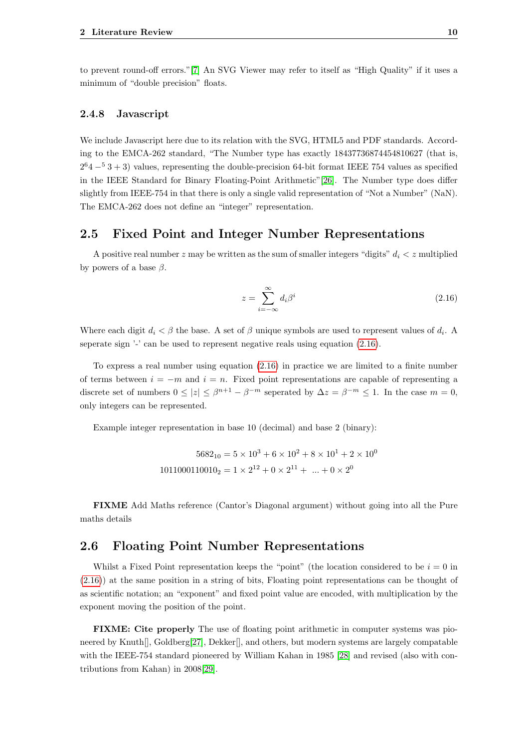<span id="page-13-0"></span>to prevent round-off errors."[\[7\]](#page-28-7) An SVG Viewer may refer to itself as "High Quality" if it uses a minimum of "double precision" floats.

#### 2.4.8 Javascript

We include Javascript here due to its relation with the SVG, HTML5 and PDF standards. According to the EMCA-262 standard, "The Number type has exactly 18437736874454810627 (that is,  $2^{6}4 - 53 + 3$ ) values, representing the double-precision 64-bit format IEEE 754 values as specified in the IEEE Standard for Binary Floating-Point Arithmetic"[\[26\]](#page-29-7). The Number type does differ slightly from IEEE-754 in that there is only a single valid representation of "Not a Number" (NaN). The EMCA-262 does not define an "integer" representation.

## <span id="page-13-1"></span>2.5 Fixed Point and Integer Number Representations

A positive real number z may be written as the sum of smaller integers "digits"  $d_i < z$  multiplied by powers of a base  $\beta$ .

<span id="page-13-3"></span>
$$
z = \sum_{i = -\infty}^{\infty} d_i \beta^i \tag{2.16}
$$

Where each digit  $d_i < \beta$  the base. A set of  $\beta$  unique symbols are used to represent values of  $d_i$ . A seperate sign '-' can be used to represent negative reals using equation  $(2.16)$ .

To express a real number using equation [\(2.16\)](#page-13-3) in practice we are limited to a finite number of terms between  $i = -m$  and  $i = n$ . Fixed point representations are capable of representing a discrete set of numbers  $0 \le |z| \le \beta^{n+1} - \beta^{-m}$  seperated by  $\Delta z = \beta^{-m} \le 1$ . In the case  $m = 0$ , only integers can be represented.

Example integer representation in base 10 (decimal) and base 2 (binary):

$$
5682_{10} = 5 \times 10^3 + 6 \times 10^2 + 8 \times 10^1 + 2 \times 10^0
$$
  
1011000110010<sub>2</sub> = 1 × 2<sup>12</sup> + 0 × 2<sup>11</sup> + ... + 0 × 2<sup>0</sup>

<span id="page-13-2"></span>FIXME Add Maths reference (Cantor's Diagonal argument) without going into all the Pure maths details

## 2.6 Floating Point Number Representations

Whilst a Fixed Point representation keeps the "point" (the location considered to be  $i = 0$  in [\(2.16\)](#page-13-3)) at the same position in a string of bits, Floating point representations can be thought of as scientific notation; an "exponent" and fixed point value are encoded, with multiplication by the exponent moving the position of the point.

FIXME: Cite properly The use of floating point arithmetic in computer systems was pio-neered by Knuth[], Goldberg[\[27\]](#page-29-8), Dekker[], and others, but modern systems are largely compatable with the IEEE-754 standard pioneered by William Kahan in 1985 [\[28\]](#page-29-9) and revised (also with contributions from Kahan) in 2008[\[29\]](#page-29-10).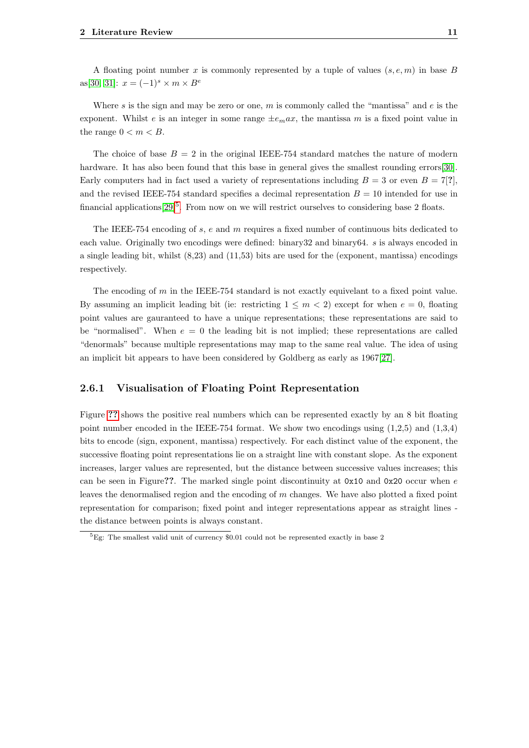A floating point number x is commonly represented by a tuple of values  $(s, e, m)$  in base B as[\[30,](#page-29-11) [31\]](#page-29-12):  $x = (-1)^s \times m \times B^e$ 

Where s is the sign and may be zero or one, m is commonly called the "mantissa" and  $e$  is the exponent. Whilst e is an integer in some range  $\pm e_{m}ax$ , the mantissa m is a fixed point value in the range  $0 < m < B$ .

The choice of base  $B = 2$  in the original IEEE-754 standard matches the nature of modern hardware. It has also been found that this base in general gives the smallest rounding errors[\[30\]](#page-29-11). Early computers had in fact used a variety of representations including  $B = 3$  or even  $B = 7[?]$ , and the revised IEEE-754 standard specifies a decimal representation  $B = 10$  intended for use in financial applications  $[29]$ <sup>[5](#page-14-1)</sup>. From now on we will restrict ourselves to considering base 2 floats.

The IEEE-754 encoding of s, e and m requires a fixed number of continuous bits dedicated to each value. Originally two encodings were defined: binary32 and binary64. s is always encoded in a single leading bit, whilst (8,23) and (11,53) bits are used for the (exponent, mantissa) encodings respectively.

The encoding of m in the IEEE-754 standard is not exactly equivelant to a fixed point value. By assuming an implicit leading bit (ie: restricting  $1 \leq m < 2$ ) except for when  $e = 0$ , floating point values are gauranteed to have a unique representations; these representations are said to be "normalised". When  $e = 0$  the leading bit is not implied; these representations are called "denormals" because multiple representations may map to the same real value. The idea of using an implicit bit appears to have been considered by Goldberg as early as 1967[\[27\]](#page-29-8).

#### <span id="page-14-0"></span>2.6.1 Visualisation of Floating Point Representation

Figure [??](#page-15-1) shows the positive real numbers which can be represented exactly by an 8 bit floating point number encoded in the IEEE-754 format. We show two encodings using  $(1,2,5)$  and  $(1,3,4)$ bits to encode (sign, exponent, mantissa) respectively. For each distinct value of the exponent, the successive floating point representations lie on a straight line with constant slope. As the exponent increases, larger values are represented, but the distance between successive values increases; this can be seen in Figure??. The marked single point discontinuity at  $0x10$  and  $0x20$  occur when e leaves the denormalised region and the encoding of m changes. We have also plotted a fixed point representation for comparison; fixed point and integer representations appear as straight lines the distance between points is always constant.

<span id="page-14-1"></span><sup>5</sup>Eg: The smallest valid unit of currency \$0.01 could not be represented exactly in base 2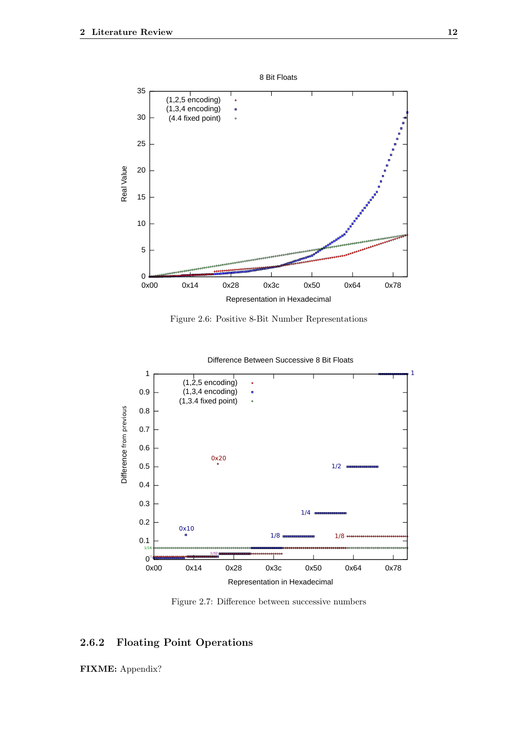<span id="page-15-1"></span>

Figure 2.6: Positive 8-Bit Number Representations

<span id="page-15-2"></span>

Difference Between Successive 8 Bit Floats

Figure 2.7: Difference between successive numbers

## <span id="page-15-0"></span>2.6.2 Floating Point Operations

FIXME: Appendix?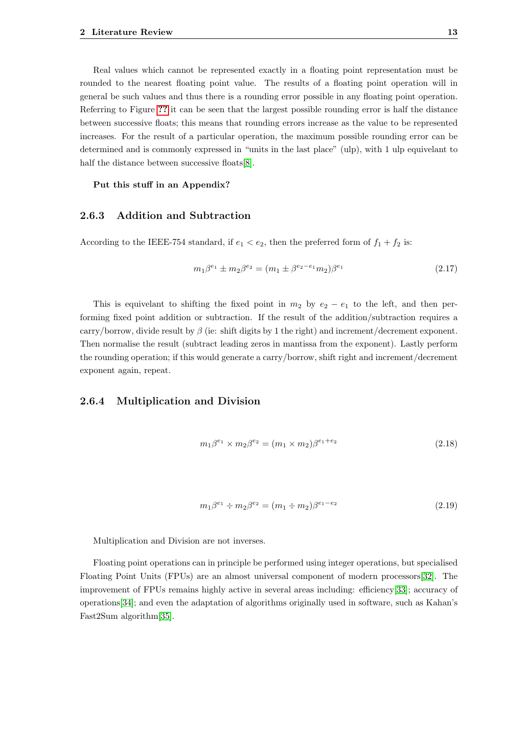Real values which cannot be represented exactly in a floating point representation must be rounded to the nearest floating point value. The results of a floating point operation will in general be such values and thus there is a rounding error possible in any floating point operation. Referring to Figure [??](#page-15-1) it can be seen that the largest possible rounding error is half the distance between successive floats; this means that rounding errors increase as the value to be represented increases. For the result of a particular operation, the maximum possible rounding error can be determined and is commonly expressed in "units in the last place" (ulp), with 1 ulp equivelant to half the distance between successive floats[\[8\]](#page-28-8).

<span id="page-16-0"></span>Put this stuff in an Appendix?

#### 2.6.3 Addition and Subtraction

According to the IEEE-754 standard, if  $e_1 < e_2$ , then the preferred form of  $f_1 + f_2$  is:

$$
m_1 \beta^{e_1} \pm m_2 \beta^{e_2} = (m_1 \pm \beta^{e_2 - e_1} m_2) \beta^{e_1}
$$
\n(2.17)

This is equivelant to shifting the fixed point in  $m_2$  by  $e_2 - e_1$  to the left, and then performing fixed point addition or subtraction. If the result of the addition/subtraction requires a carry/borrow, divide result by  $\beta$  (ie: shift digits by 1 the right) and increment/decrement exponent. Then normalise the result (subtract leading zeros in mantissa from the exponent). Lastly perform the rounding operation; if this would generate a carry/borrow, shift right and increment/decrement exponent again, repeat.

#### <span id="page-16-1"></span>2.6.4 Multiplication and Division

$$
m_1 \beta^{e_1} \times m_2 \beta^{e_2} = (m_1 \times m_2) \beta^{e_1 + e_2}
$$
\n(2.18)

$$
m_1 \beta^{e_1} \div m_2 \beta^{e_2} = (m_1 \div m_2) \beta^{e_1 - e_2}
$$
\n(2.19)

Multiplication and Division are not inverses.

<span id="page-16-2"></span>Floating point operations can in principle be performed using integer operations, but specialised Floating Point Units (FPUs) are an almost universal component of modern processors[\[32\]](#page-29-13). The improvement of FPUs remains highly active in several areas including: efficiency[\[33\]](#page-29-14); accuracy of operations[\[34\]](#page-29-15); and even the adaptation of algorithms originally used in software, such as Kahan's Fast2Sum algorithm[\[35\]](#page-29-16).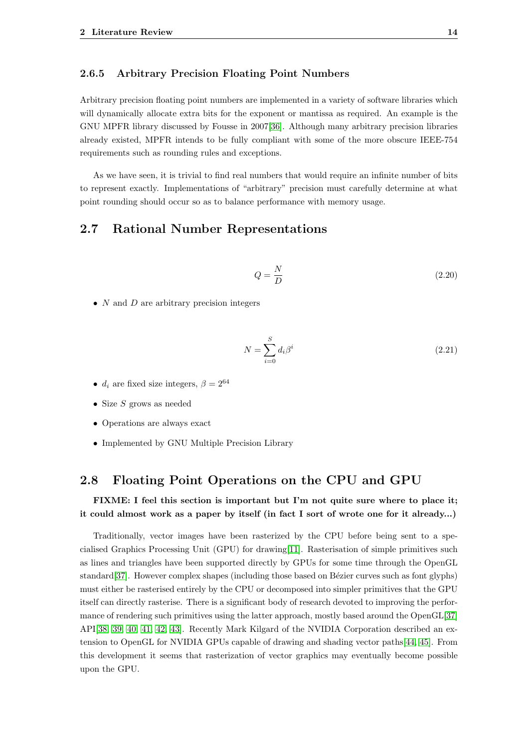#### 2.6.5 Arbitrary Precision Floating Point Numbers

Arbitrary precision floating point numbers are implemented in a variety of software libraries which will dynamically allocate extra bits for the exponent or mantissa as required. An example is the GNU MPFR library discussed by Fousse in 2007[\[36\]](#page-30-0). Although many arbitrary precision libraries already existed, MPFR intends to be fully compliant with some of the more obscure IEEE-754 requirements such as rounding rules and exceptions.

As we have seen, it is trivial to find real numbers that would require an infinite number of bits to represent exactly. Implementations of "arbitrary" precision must carefully determine at what point rounding should occur so as to balance performance with memory usage.

## <span id="page-17-0"></span>2.7 Rational Number Representations

$$
Q = \frac{N}{D} \tag{2.20}
$$

•  $N$  and  $D$  are arbitrary precision integers

$$
N = \sum_{i=0}^{S} d_i \beta^i
$$
\n(2.21)

- $d_i$  are fixed size integers,  $\beta = 2^{64}$
- Size  $S$  grows as needed
- Operations are always exact
- <span id="page-17-1"></span>• Implemented by GNU Multiple Precision Library

## 2.8 Floating Point Operations on the CPU and GPU

### FIXME: I feel this section is important but I'm not quite sure where to place it; it could almost work as a paper by itself (in fact I sort of wrote one for it already...)

Traditionally, vector images have been rasterized by the CPU before being sent to a specialised Graphics Processing Unit (GPU) for drawing[\[11\]](#page-28-11). Rasterisation of simple primitives such as lines and triangles have been supported directly by GPUs for some time through the OpenGL standard[\[37\]](#page-30-1). However complex shapes (including those based on Bézier curves such as font glyphs) must either be rasterised entirely by the CPU or decomposed into simpler primitives that the GPU itself can directly rasterise. There is a significant body of research devoted to improving the performance of rendering such primitives using the latter approach, mostly based around the OpenGL[\[37\]](#page-30-1) API[\[38,](#page-30-2) [39,](#page-30-3) [40,](#page-30-4) [41,](#page-30-5) [42,](#page-30-6) [43\]](#page-30-7). Recently Mark Kilgard of the NVIDIA Corporation described an extension to OpenGL for NVIDIA GPUs capable of drawing and shading vector paths[\[44,](#page-30-8) [45\]](#page-30-9). From this development it seems that rasterization of vector graphics may eventually become possible upon the GPU.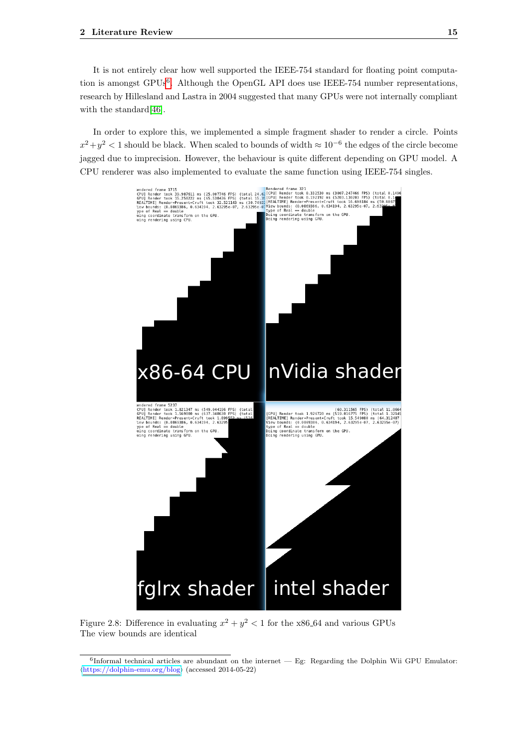It is not entirely clear how well supported the IEEE-754 standard for floating point computa-tion is amongst GPUs<sup>[6](#page-18-1)</sup>. Although the OpenGL API does use IEEE-754 number representations, research by Hillesland and Lastra in 2004 suggested that many GPUs were not internally compliant with the standard [\[46\]](#page-30-10).

In order to explore this, we implemented a simple fragment shader to render a circle. Points  $x^2 + y^2 < 1$  should be black. When scaled to bounds of width  $\approx 10^{-6}$  the edges of the circle become jagged due to imprecision. However, the behaviour is quite different depending on GPU model. A CPU renderer was also implemented to evaluate the same function using IEEE-754 singles.

<span id="page-18-0"></span>

Figure 2.8: Difference in evaluating  $x^2 + y^2 < 1$  for the x86.64 and various GPUs The view bounds are identical

<span id="page-18-1"></span><sup>6</sup> Informal technical articles are abundant on the internet — Eg: Regarding the Dolphin Wii GPU Emulator:  $\langle$ <https://dolphin-emu.org/blog> $\rangle$  (accessed 2014-05-22)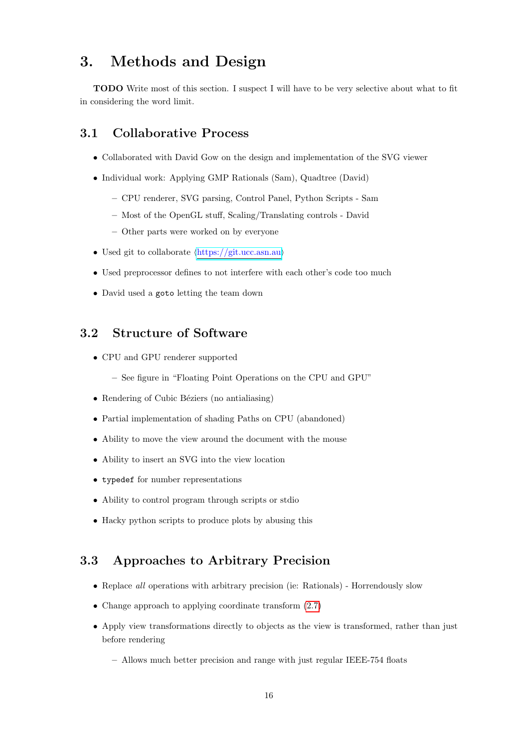# <span id="page-19-0"></span>3. Methods and Design

TODO Write most of this section. I suspect I will have to be very selective about what to fit in considering the word limit.

## <span id="page-19-1"></span>3.1 Collaborative Process

- Collaborated with David Gow on the design and implementation of the SVG viewer
- Individual work: Applying GMP Rationals (Sam), Quadtree (David)
	- CPU renderer, SVG parsing, Control Panel, Python Scripts Sam
	- Most of the OpenGL stuff, Scaling/Translating controls David
	- Other parts were worked on by everyone
- Used git to collaborate  $\langle \text{https://gitucc.asn.au}\rangle$
- Used preprocessor defines to not interfere with each other's code too much
- <span id="page-19-2"></span>• David used a goto letting the team down

## 3.2 Structure of Software

- CPU and GPU renderer supported
	- See figure in "Floating Point Operations on the CPU and GPU"
- Rendering of Cubic Béziers (no antialiasing)
- Partial implementation of shading Paths on CPU (abandoned)
- Ability to move the view around the document with the mouse
- Ability to insert an SVG into the view location
- typedef for number representations
- Ability to control program through scripts or stdio
- <span id="page-19-3"></span>• Hacky python scripts to produce plots by abusing this

## 3.3 Approaches to Arbitrary Precision

- Replace *all* operations with arbitrary precision (ie: Rationals) Horrendously slow
- Change approach to applying coordinate transform  $(2.7)$
- Apply view transformations directly to objects as the view is transformed, rather than just before rendering
	- Allows much better precision and range with just regular IEEE-754 floats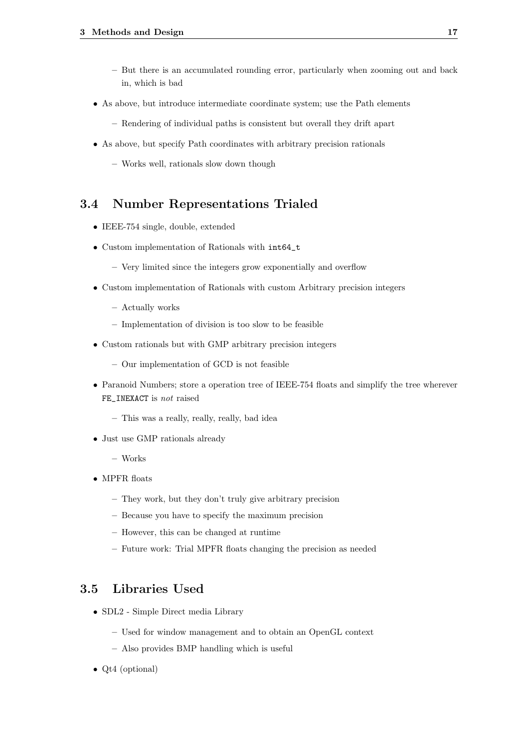- But there is an accumulated rounding error, particularly when zooming out and back in, which is bad
- As above, but introduce intermediate coordinate system; use the Path elements
	- Rendering of individual paths is consistent but overall they drift apart
- As above, but specify Path coordinates with arbitrary precision rationals
	- Works well, rationals slow down though

## <span id="page-20-0"></span>3.4 Number Representations Trialed

- IEEE-754 single, double, extended
- Custom implementation of Rationals with int64\_t
	- Very limited since the integers grow exponentially and overflow
- Custom implementation of Rationals with custom Arbitrary precision integers
	- Actually works
	- Implementation of division is too slow to be feasible
- Custom rationals but with GMP arbitrary precision integers
	- Our implementation of GCD is not feasible
- Paranoid Numbers; store a operation tree of IEEE-754 floats and simplify the tree wherever FE\_INEXACT is not raised
	- This was a really, really, really, bad idea
- Just use GMP rationals already
	- Works
- MPFR floats
	- They work, but they don't truly give arbitrary precision
	- Because you have to specify the maximum precision
	- However, this can be changed at runtime
	- Future work: Trial MPFR floats changing the precision as needed

## <span id="page-20-1"></span>3.5 Libraries Used

- SDL2 Simple Direct media Library
	- Used for window management and to obtain an OpenGL context
	- Also provides BMP handling which is useful
- Ot4 (optional)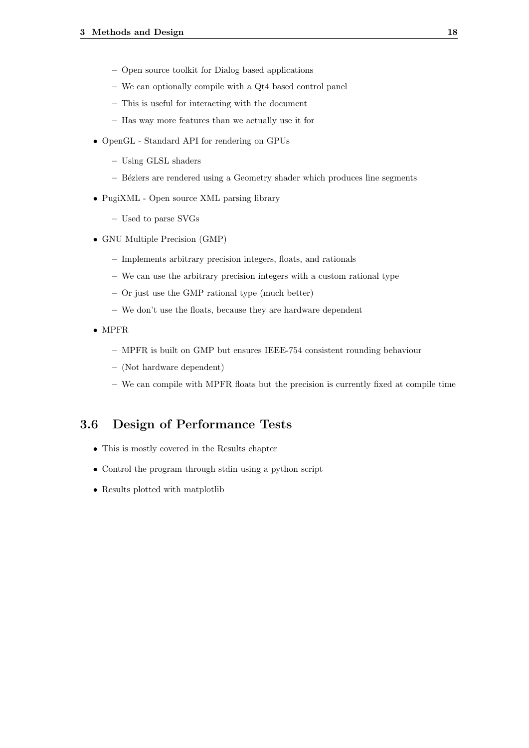- Open source toolkit for Dialog based applications
- We can optionally compile with a Qt4 based control panel
- This is useful for interacting with the document
- Has way more features than we actually use it for
- OpenGL Standard API for rendering on GPUs
	- Using GLSL shaders
	- B´eziers are rendered using a Geometry shader which produces line segments
- PugiXML Open source XML parsing library
	- Used to parse SVGs
- GNU Multiple Precision (GMP)
	- Implements arbitrary precision integers, floats, and rationals
	- We can use the arbitrary precision integers with a custom rational type
	- Or just use the GMP rational type (much better)
	- We don't use the floats, because they are hardware dependent
- MPFR
	- MPFR is built on GMP but ensures IEEE-754 consistent rounding behaviour
	- (Not hardware dependent)
	- We can compile with MPFR floats but the precision is currently fixed at compile time

## <span id="page-21-0"></span>3.6 Design of Performance Tests

- This is mostly covered in the Results chapter
- Control the program through stdin using a python script
- Results plotted with matplotlib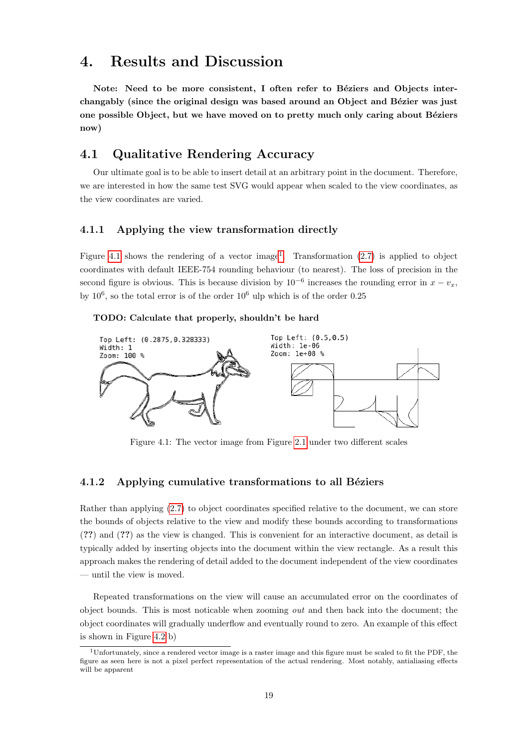## <span id="page-22-0"></span>4. Results and Discussion

Note: Need to be more consistent, I often refer to Béziers and Objects interchangably (since the original design was based around an Object and Bézier was just one possible Object, but we have moved on to pretty much only caring about Béziers now)

## <span id="page-22-1"></span>4.1 Qualitative Rendering Accuracy

Our ultimate goal is to be able to insert detail at an arbitrary point in the document. Therefore, we are interested in how the same test SVG would appear when scaled to the view coordinates, as the view coordinates are varied.

#### <span id="page-22-2"></span>4.1.1 Applying the view transformation directly

Figure [4.1](#page-22-4) shows the rendering of a vector image<sup>[1](#page-22-5)</sup>. Transformation  $(2.7)$  is applied to object coordinates with default IEEE-754 rounding behaviour (to nearest). The loss of precision in the second figure is obvious. This is because division by  $10^{-6}$  increases the rounding error in  $x - v_x$ , by  $10^6$ , so the total error is of the order  $10^6$  ulp which is of the order 0.25

#### TODO: Calculate that properly, shouldn't be hard

<span id="page-22-4"></span>

Figure 4.1: The vector image from Figure [2.1](#page-5-2) under two different scales

#### <span id="page-22-3"></span>4.1.2 Applying cumulative transformations to all Béziers

Rather than applying [\(2.7\)](#page-9-3) to object coordinates specified relative to the document, we can store the bounds of objects relative to the view and modify these bounds according to transformations (??) and (??) as the view is changed. This is convenient for an interactive document, as detail is typically added by inserting objects into the document within the view rectangle. As a result this approach makes the rendering of detail added to the document independent of the view coordinates — until the view is moved.

Repeated transformations on the view will cause an accumulated error on the coordinates of object bounds. This is most noticable when zooming out and then back into the document; the object coordinates will gradually underflow and eventually round to zero. An example of this effect is shown in Figure [4.2](#page-23-2) b)

<span id="page-22-5"></span><sup>1</sup>Unfortunately, since a rendered vector image is a raster image and this figure must be scaled to fit the PDF, the figure as seen here is not a pixel perfect representation of the actual rendering. Most notably, antialiasing effects will be apparent.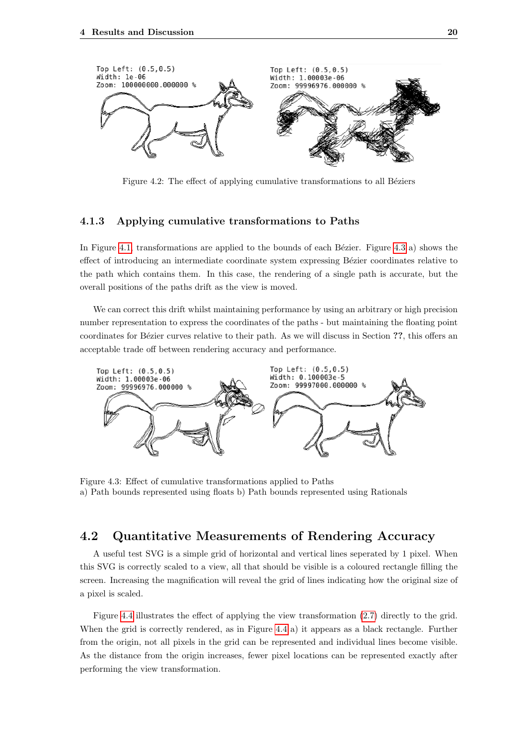<span id="page-23-2"></span>

Figure 4.2: The effect of applying cumulative transformations to all Béziers

#### <span id="page-23-0"></span>4.1.3 Applying cumulative transformations to Paths

In Figure [4.1,](#page-22-4) transformations are applied to the bounds of each Bézier. Figure [4.3](#page-23-3) a) shows the effect of introducing an intermediate coordinate system expressing Bézier coordinates relative to the path which contains them. In this case, the rendering of a single path is accurate, but the overall positions of the paths drift as the view is moved.

We can correct this drift whilst maintaining performance by using an arbitrary or high precision number representation to express the coordinates of the paths - but maintaining the floating point coordinates for Bézier curves relative to their path. As we will discuss in Section ??, this offers an acceptable trade off between rendering accuracy and performance.

<span id="page-23-3"></span>

Figure 4.3: Effect of cumulative transformations applied to Paths a) Path bounds represented using floats b) Path bounds represented using Rationals

## <span id="page-23-1"></span>4.2 Quantitative Measurements of Rendering Accuracy

A useful test SVG is a simple grid of horizontal and vertical lines seperated by 1 pixel. When this SVG is correctly scaled to a view, all that should be visible is a coloured rectangle filling the screen. Increasing the magnification will reveal the grid of lines indicating how the original size of a pixel is scaled.

Figure [4.4](#page-24-2) illustrates the effect of applying the view transformation [\(2.7\)](#page-9-3) directly to the grid. When the grid is correctly rendered, as in Figure [4.4](#page-24-2) a) it appears as a black rectangle. Further from the origin, not all pixels in the grid can be represented and individual lines become visible. As the distance from the origin increases, fewer pixel locations can be represented exactly after performing the view transformation.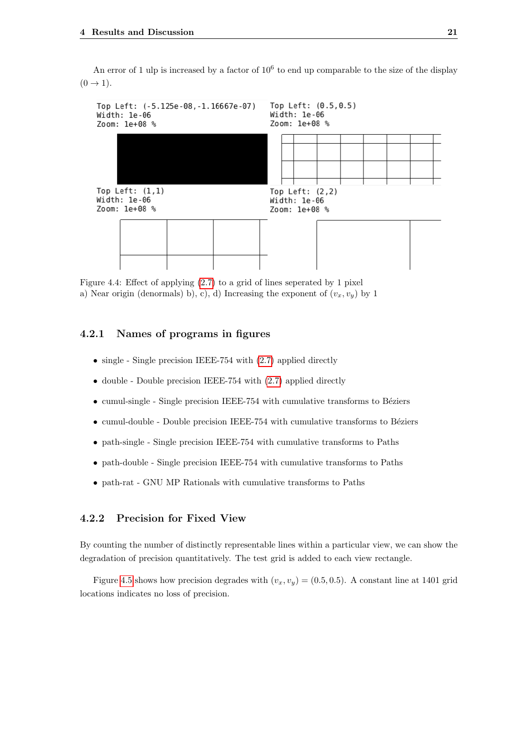An error of 1 ulp is increased by a factor of  $10^6$  to end up comparable to the size of the display  $(0 \rightarrow 1)$ .

<span id="page-24-2"></span>

Figure 4.4: Effect of applying [\(2.7\)](#page-9-3) to a grid of lines seperated by 1 pixel a) Near origin (denormals) b), c), d) Increasing the exponent of  $(v_x, v_y)$  by 1

#### <span id="page-24-0"></span>4.2.1 Names of programs in figures

- single Single precision IEEE-754 with  $(2.7)$  applied directly
- double Double precision IEEE-754 with [\(2.7\)](#page-9-3) applied directly
- $\bullet$  cumul-single Single precision IEEE-754 with cumulative transforms to Béziers
- $\bullet$  cumul-double Double precision IEEE-754 with cumulative transforms to Béziers
- path-single Single precision IEEE-754 with cumulative transforms to Paths
- path-double Single precision IEEE-754 with cumulative transforms to Paths
- path-rat GNU MP Rationals with cumulative transforms to Paths

#### <span id="page-24-1"></span>4.2.2 Precision for Fixed View

By counting the number of distinctly representable lines within a particular view, we can show the degradation of precision quantitatively. The test grid is added to each view rectangle.

Figure [4.5](#page-25-2) shows how precision degrades with  $(v_x, v_y) = (0.5, 0.5)$ . A constant line at 1401 grid locations indicates no loss of precision.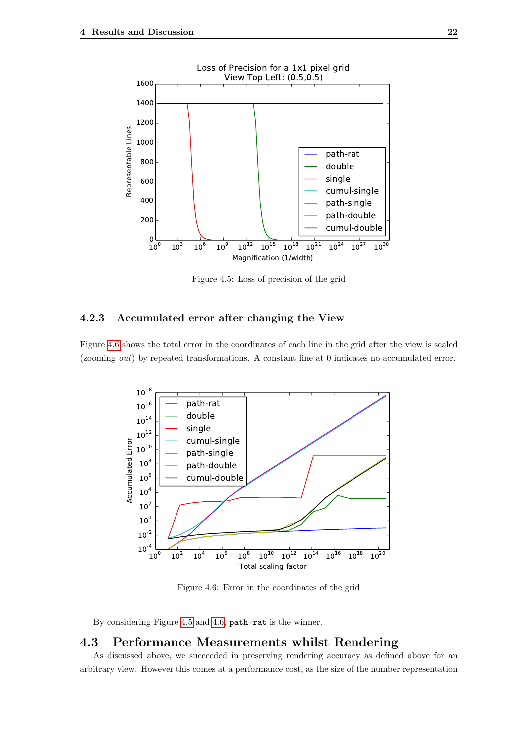<span id="page-25-2"></span>

Figure 4.5: Loss of precision of the grid

#### <span id="page-25-0"></span>4.2.3 Accumulated error after changing the View

<span id="page-25-3"></span>Figure [4.6](#page-25-3) shows the total error in the coordinates of each line in the grid after the view is scaled (zooming out) by repeated transformations. A constant line at 0 indicates no accumulated error.



Figure 4.6: Error in the coordinates of the grid

By considering Figure [4.5](#page-25-2) and [4.6,](#page-25-3) path-rat is the winner.

## <span id="page-25-1"></span>4.3 Performance Measurements whilst Rendering

As discussed above, we succeeded in preserving rendering accuracy as defined above for an arbitrary view. However this comes at a performance cost, as the size of the number representation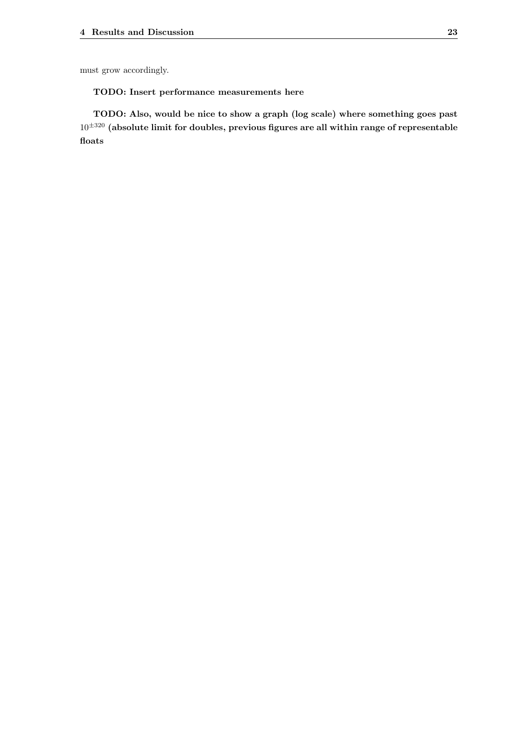must grow accordingly.

#### TODO: Insert performance measurements here

TODO: Also, would be nice to show a graph (log scale) where something goes past  $10^{\pm320}$  (absolute limit for doubles, previous figures are all within range of representable floats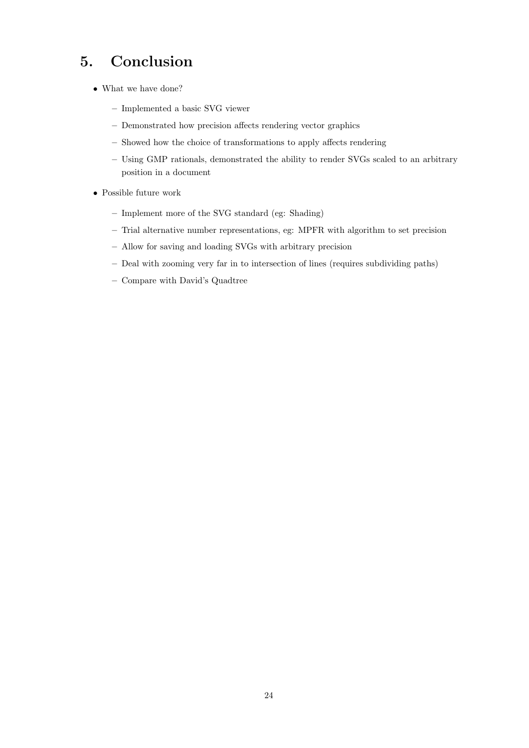# <span id="page-27-0"></span>5. Conclusion

- What we have done?
	- Implemented a basic SVG viewer
	- Demonstrated how precision affects rendering vector graphics
	- Showed how the choice of transformations to apply affects rendering
	- Using GMP rationals, demonstrated the ability to render SVGs scaled to an arbitrary position in a document
- Possible future work
	- Implement more of the SVG standard (eg: Shading)
	- Trial alternative number representations, eg: MPFR with algorithm to set precision
	- Allow for saving and loading SVGs with arbitrary precision
	- Deal with zooming very far in to intersection of lines (requires subdividing paths)
	- Compare with David's Quadtree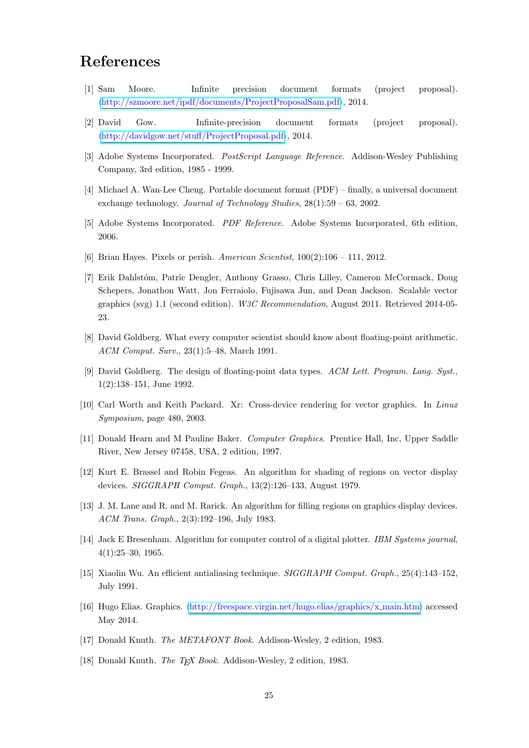# <span id="page-28-2"></span>References

- <span id="page-28-0"></span>[1] Sam Moore. Infinite precision document formats (project proposal).  $\langle \frac{http://szmore.net/ipdf/documents/ProjectProposalSam.pdf}{?}$ , 2014.
- <span id="page-28-1"></span>[2] David Gow. Infinite-precision document formats (project proposal).  $\langle \frac{http://davidgow.net/stuff/ProjectProposal.pdf}{http://davidgow.net/stuff/ProjectProposal.pdf}\rangle$  $\langle \frac{http://davidgow.net/stuff/ProjectProposal.pdf}{http://davidgow.net/stuff/ProjectProposal.pdf}\rangle$  $\langle \frac{http://davidgow.net/stuff/ProjectProposal.pdf}{http://davidgow.net/stuff/ProjectProposal.pdf}\rangle$ , 2014.
- <span id="page-28-3"></span>[3] Adobe Systems Incorporated. PostScript Language Reference. Addison-Wesley Publishing Company, 3rd edition, 1985 - 1999.
- <span id="page-28-4"></span>[4] Michael A. Wan-Lee Cheng. Portable document format (PDF) – finally, a universal document exchange technology. Journal of Technology Studies, 28(1):59 – 63, 2002.
- <span id="page-28-5"></span>[5] Adobe Systems Incorporated. PDF Reference. Adobe Systems Incorporated, 6th edition, 2006.
- <span id="page-28-6"></span>[6] Brian Hayes. Pixels or perish. American Scientist,  $100(2):106 - 111$ ,  $2012$ .
- <span id="page-28-7"></span>[7] Erik Dahlstóm, Patric Dengler, Anthony Grasso, Chris Lilley, Cameron McCormack, Doug Schepers, Jonathon Watt, Jon Ferraiolo, Fujisawa Jun, and Dean Jackson. Scalable vector graphics (svg) 1.1 (second edition). W3C Recommendation, August 2011. Retrieved 2014-05- 23.
- <span id="page-28-8"></span>[8] David Goldberg. What every computer scientist should know about floating-point arithmetic. ACM Comput. Surv., 23(1):5–48, March 1991.
- <span id="page-28-9"></span>[9] David Goldberg. The design of floating-point data types. ACM Lett. Program. Lang. Syst., 1(2):138–151, June 1992.
- <span id="page-28-10"></span>[10] Carl Worth and Keith Packard. Xr: Cross-device rendering for vector graphics. In Linux Symposium, page 480, 2003.
- <span id="page-28-11"></span>[11] Donald Hearn and M Pauline Baker. Computer Graphics. Prentice Hall, Inc, Upper Saddle River, New Jersey 07458, USA, 2 edition, 1997.
- <span id="page-28-12"></span>[12] Kurt E. Brassel and Robin Fegeas. An algorithm for shading of regions on vector display devices. SIGGRAPH Comput. Graph., 13(2):126–133, August 1979.
- <span id="page-28-13"></span>[13] J. M. Lane and R. and M. Rarick. An algorithm for filling regions on graphics display devices. ACM Trans. Graph., 2(3):192–196, July 1983.
- <span id="page-28-14"></span>[14] Jack E Bresenham. Algorithm for computer control of a digital plotter. IBM Systems journal, 4(1):25–30, 1965.
- <span id="page-28-15"></span>[15] Xiaolin Wu. An efficient antialiasing technique. SIGGRAPH Comput. Graph., 25(4):143–152, July 1991.
- <span id="page-28-16"></span>[16] Hugo Elias. Graphics.  $\langle$ [http://freespace.virgin.net/hugo.elias/graphics/x](http://freespace.virgin.net/hugo.elias/graphics/x_main.htm)\_main.htm) accessed May 2014.
- <span id="page-28-17"></span>[17] Donald Knuth. The METAFONT Book. Addison-Wesley, 2 edition, 1983.
- <span id="page-28-18"></span>[18] Donald Knuth. The TFX Book. Addison-Wesley, 2 edition, 1983.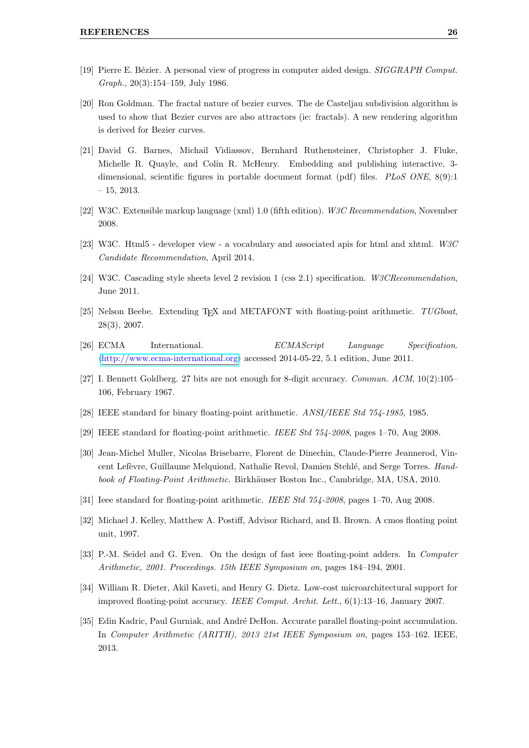- <span id="page-29-0"></span>[19] Pierre E. Bézier. A personal view of progress in computer aided design. SIGGRAPH Comput. Graph., 20(3):154–159, July 1986.
- <span id="page-29-1"></span>[20] Ron Goldman. The fractal nature of bezier curves. The de Casteljau subdivision algorithm is used to show that Bezier curves are also attractors (ie: fractals). A new rendering algorithm is derived for Bezier curves.
- <span id="page-29-2"></span>[21] David G. Barnes, Michail Vidiassov, Bernhard Ruthensteiner, Christopher J. Fluke, Michelle R. Quayle, and Colin R. McHenry. Embedding and publishing interactive, 3 dimensional, scientific figures in portable document format (pdf) files. PLoS ONE, 8(9):1 – 15, 2013.
- <span id="page-29-3"></span>[22] W3C. Extensible markup language (xml) 1.0 (fifth edition). W3C Recommendation, November 2008.
- <span id="page-29-4"></span>[23] W3C. Html5 - developer view - a vocabulary and associated apis for html and xhtml. W3C Candidate Recommendation, April 2014.
- <span id="page-29-5"></span>[24] W3C. Cascading style sheets level 2 revision 1 (css 2.1) specification. W3CRecommendation, June 2011.
- <span id="page-29-6"></span>[25] Nelson Beebe. Extending T<sub>EX</sub> and METAFONT with floating-point arithmetic.  $TUGboat$ , 28(3), 2007.
- <span id="page-29-7"></span>[26] ECMA International. ECMAScript Language Specification.  $\langle \frac{\text{http://www.ecma-interrational.org}{\text{arclosed 2014-05-22, 5.1 edition}}$ , June 2011.
- <span id="page-29-8"></span>[27] I. Bennett Goldberg. 27 bits are not enough for 8-digit accuracy. Commun. ACM, 10(2):105– 106, February 1967.
- <span id="page-29-9"></span>[28] IEEE standard for binary floating-point arithmetic. ANSI/IEEE Std 754-1985, 1985.
- <span id="page-29-10"></span>[29] IEEE standard for floating-point arithmetic. IEEE Std 754-2008, pages 1–70, Aug 2008.
- <span id="page-29-11"></span>[30] Jean-Michel Muller, Nicolas Brisebarre, Florent de Dinechin, Claude-Pierre Jeannerod, Vincent Lefèvre, Guillaume Melquiond, Nathalie Revol, Damien Stehlé, and Serge Torres. Handbook of Floating-Point Arithmetic. Birkhäuser Boston Inc., Cambridge, MA, USA, 2010.
- <span id="page-29-12"></span>[31] Ieee standard for floating-point arithmetic. IEEE Std 754-2008, pages 1–70, Aug 2008.
- <span id="page-29-13"></span>[32] Michael J. Kelley, Matthew A. Postiff, Advisor Richard, and B. Brown. A cmos floating point unit, 1997.
- <span id="page-29-14"></span>[33] P.-M. Seidel and G. Even. On the design of fast ieee floating-point adders. In *Computer* Arithmetic, 2001. Proceedings. 15th IEEE Symposium on, pages 184–194, 2001.
- <span id="page-29-15"></span>[34] William R. Dieter, Akil Kaveti, and Henry G. Dietz. Low-cost microarchitectural support for improved floating-point accuracy. IEEE Comput. Archit. Lett., 6(1):13–16, January 2007.
- <span id="page-29-16"></span>[35] Edin Kadric, Paul Gurniak, and André DeHon. Accurate parallel floating-point accumulation. In Computer Arithmetic (ARITH), 2013 21st IEEE Symposium on, pages 153–162. IEEE, 2013.